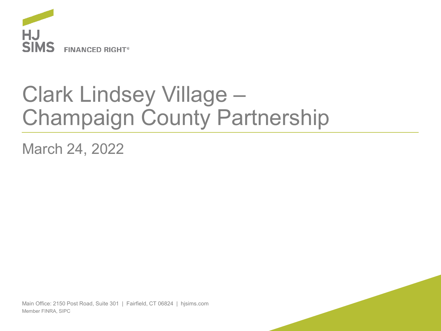

## Clark Lindsey Village – Champaign County Partnership

March 24, 2022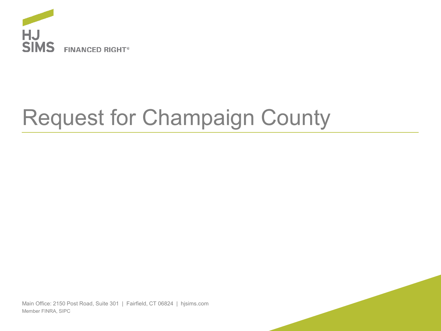

# Request for Champaign County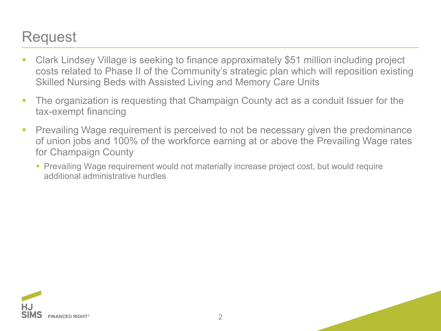### Request

- Clark Lindsey Village is seeking to finance approximately \$51 million including project costs related to Phase II of the Community's strategic plan which will reposition existing Skilled Nursing Beds with Assisted Living and Memory Care Units
- **The organization is requesting that Champaign County act as a conduit Issuer for the** tax-exempt financing
- **Prevailing Wage requirement is perceived to not be necessary given the predominance** of union jobs and 100% of the workforce earning at or above the Prevailing Wage rates for Champaign County
	- **Prevailing Wage requirement would not materially increase project cost, but would require** additional administrative hurdles



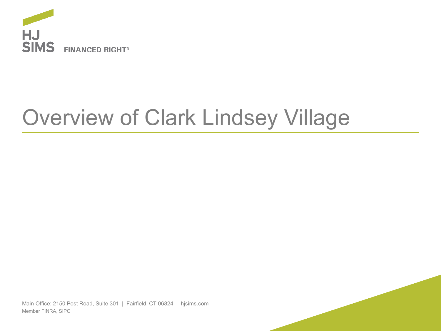

# Overview of Clark Lindsey Village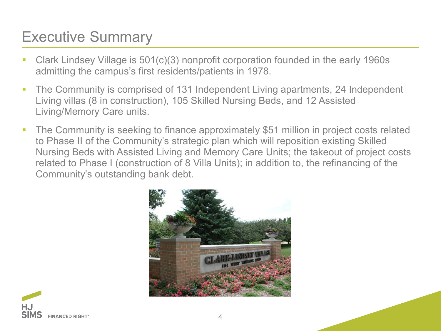### Executive Summary

- Clark Lindsey Village is 501(c)(3) nonprofit corporation founded in the early 1960s admitting the campus's first residents/patients in 1978.
- The Community is comprised of 131 Independent Living apartments, 24 Independent Living villas (8 in construction), 105 Skilled Nursing Beds, and 12 Assisted Living/Memory Care units.
- The Community is seeking to finance approximately \$51 million in project costs related to Phase II of the Community's strategic plan which will reposition existing Skilled Nursing Beds with Assisted Living and Memory Care Units; the takeout of project costs related to Phase I (construction of 8 Villa Units); in addition to, the refinancing of the Community's outstanding bank debt.



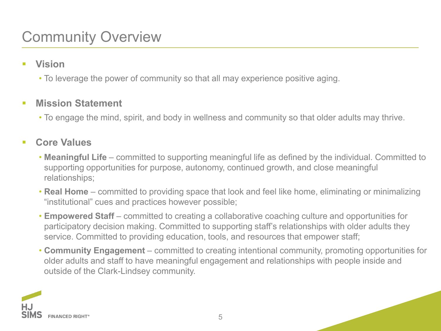### Community Overview

- **Vision** 
	- To leverage the power of community so that all may experience positive aging.

#### **F** Mission Statement

• To engage the mind, spirit, and body in wellness and community so that older adults may thrive.

#### **Core Values**

- **Meaningful Life**  committed to supporting meaningful life as defined by the individual. Committed to supporting opportunities for purpose, autonomy, continued growth, and close meaningful relationships;
- **Real Home**  committed to providing space that look and feel like home, eliminating or minimalizing "institutional" cues and practices however possible;
- **Empowered Staff**  committed to creating a collaborative coaching culture and opportunities for participatory decision making. Committed to supporting staff's relationships with older adults they service. Committed to providing education, tools, and resources that empower staff;
- **Community Engagement** committed to creating intentional community, promoting opportunities for older adults and staff to have meaningful engagement and relationships with people inside and outside of the Clark-Lindsey community.

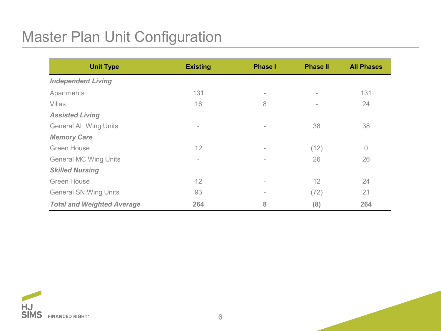### Master Plan Unit Configuration

| <b>Unit Type</b>                  | <b>Existing</b> | <b>Phase I</b> | <b>Phase II</b>          | <b>All Phases</b> |
|-----------------------------------|-----------------|----------------|--------------------------|-------------------|
| <b>Independent Living</b>         |                 |                |                          |                   |
| Apartments                        | 131             | ۰              | $\overline{\phantom{a}}$ | 131               |
| Villas                            | 16              | 8              | ٠                        | 24                |
| <b>Assisted Living</b>            |                 |                |                          |                   |
| <b>General AL Wing Units</b>      | $\sim$          | $\overline{a}$ | 38                       | 38                |
| <b>Memory Care</b>                |                 |                |                          |                   |
| <b>Green House</b>                | 12              | ۰              | (12)                     | $\overline{0}$    |
| <b>General MC Wing Units</b>      | $\sim$          |                | 26                       | 26                |
| <b>Skilled Nursing</b>            |                 |                |                          |                   |
| <b>Green House</b>                | 12              | ۰              | 12                       | 24                |
| <b>General SN Wing Units</b>      | 93              | ÷              | (72)                     | 21                |
| <b>Total and Weighted Average</b> | 264             | 8              | (8)                      | 264               |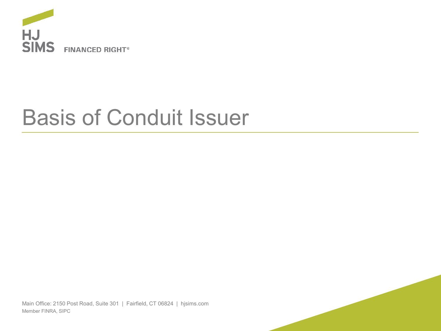

## Basis of Conduit Issuer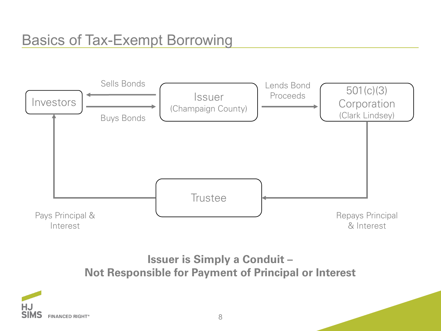

**Issuer is Simply a Conduit – Not Responsible for Payment of Principal or Interest**

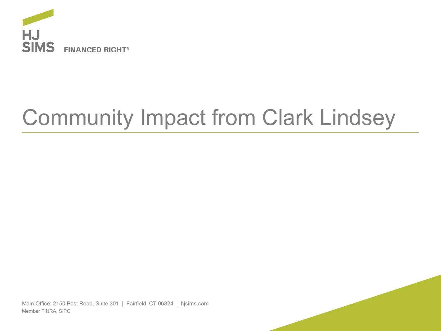

# Community Impact from Clark Lindsey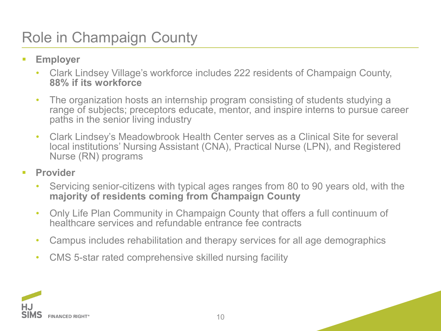### Role in Champaign County

- **Employer**
	- Clark Lindsey Village's workforce includes 222 residents of Champaign County, **88% if its workforce**
	- The organization hosts an internship program consisting of students studying a range of subjects; preceptors educate, mentor, and inspire interns to pursue career paths in the senior living industry
	- Clark Lindsey's Meadowbrook Health Center serves as a Clinical Site for several local institutions' Nursing Assistant (CNA), Practical Nurse (LPN), and Registered Nurse (RN) programs
- **Provider** 
	- Servicing senior-citizens with typical ages ranges from 80 to 90 years old, with the **majority of residents coming from Champaign County**
	- Only Life Plan Community in Champaign County that offers a full continuum of healthcare services and refundable entrance fee contracts
	- Campus includes rehabilitation and therapy services for all age demographics
	- CMS 5-star rated comprehensive skilled nursing facility

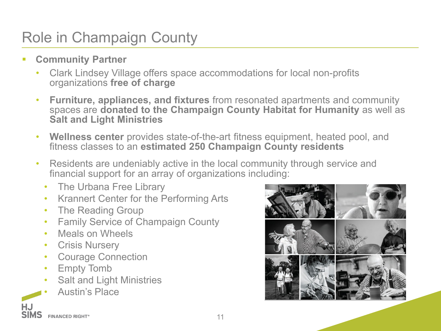### Role in Champaign County

- **EXECOMMUNITY Partner** 
	- Clark Lindsey Village offers space accommodations for local non-profits organizations **free of charge**
	- **Furniture, appliances, and fixtures** from resonated apartments and community spaces are **donated to the Champaign County Habitat for Humanity** as well as **Salt and Light Ministries**
	- **Wellness center** provides state-of-the-art fitness equipment, heated pool, and fitness classes to an **estimated 250 Champaign County residents**
	- Residents are undeniably active in the local community through service and financial support for an array of organizations including:
		- The Urbana Free Library
		- Krannert Center for the Performing Arts
		- The Reading Group
		- Family Service of Champaign County
		- Meals on Wheels
		- Crisis Nursery
		- Courage Connection
		- Empty Tomb
		- Salt and Light Ministries
		- ,,,,,- Austin's Place

**HJ**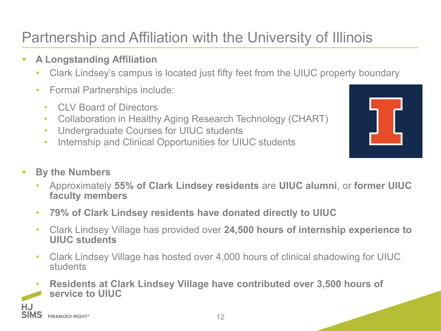### Partnership and Affiliation with the University of Illinois

- **A Longstanding Affiliation**
	- Clark Lindsey's campus is located just fifty feet from the UIUC property boundary
	- Formal Partnerships include:
		- CLV Board of Directors
		- Collaboration in Healthy Aging Research Technology (CHART)
		- Undergraduate Courses for UIUC students
		- Internship and Clinical Opportunities for UIUC students

- **By the Numbers** 
	- Approximately **55% of Clark Lindsey residents** are **UIUC alumni**, or **former UIUC faculty members**
	- **79% of Clark Lindsey residents have donated directly to UIUC**
	- Clark Lindsey Village has provided over **24,500 hours of internship experience to UIUC students**
	- Clark Lindsey Village has hosted over 4,000 hours of clinical shadowing for UIUC **students**
- **Residents at Clark Lindsey Village have contributed over 3,500 hours of service to UIUC** ,,,,,-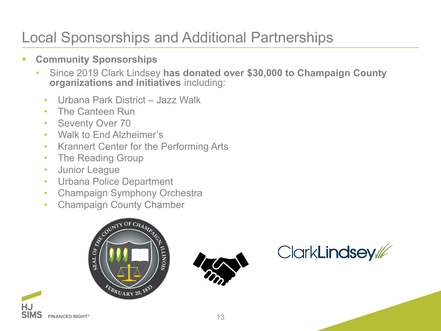### Local Sponsorships and Additional Partnerships

- **Community Sponsorships** 
	- Since 2019 Clark Lindsey **has donated over \$30,000 to Champaign County organizations and initiatives** including:
		- Urbana Park District Jazz Walk
		- The Canteen Run
		- Seventy Over 70
		- Walk to End Alzheimer's
		- Krannert Center for the Performing Arts
		- The Reading Group
		- Junior League

,,,,,-

FINANCED RIGHT®

**HJ SIMS** 

- Urbana Police Department
- Champaign Symphony Orchestra
- 





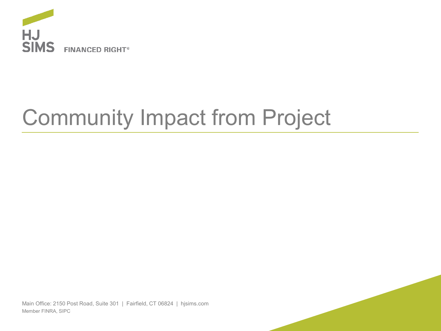

# Community Impact from Project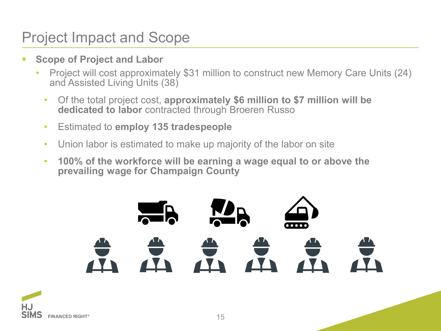### Project Impact and Scope

- **Scope of Project and Labor** 
	- Project will cost approximately \$31 million to construct new Memory Care Units (24) and Assisted Living Units (38)
		- Of the total project cost, **approximately \$6 million to \$7 million will be dedicated to labor** contracted through Broeren Russo
		- Estimated to **employ 135 tradespeople**
		- Union labor is estimated to make up majority of the labor on site
		- **100% of the workforce will be earning a wage equal to or above the prevailing wage for Champaign County**

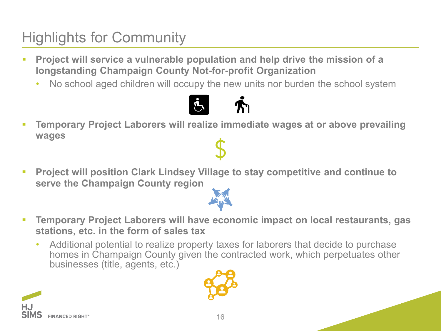### Highlights for Community

- **Project will service a vulnerable population and help drive the mission of a longstanding Champaign County Not-for-profit Organization**
	- No school aged children will occupy the new units nor burden the school system



- **Temporary Project Laborers will realize immediate wages at or above prevailing wages**
- **Project will position Clark Lindsey Village to stay competitive and continue to serve the Champaign County region**



- **Temporary Project Laborers will have economic impact on local restaurants, gas stations, etc. in the form of sales tax**
	- Additional potential to realize property taxes for laborers that decide to purchase homes in Champaign County given the contracted work, which perpetuates other businesses (title, agents, etc.)